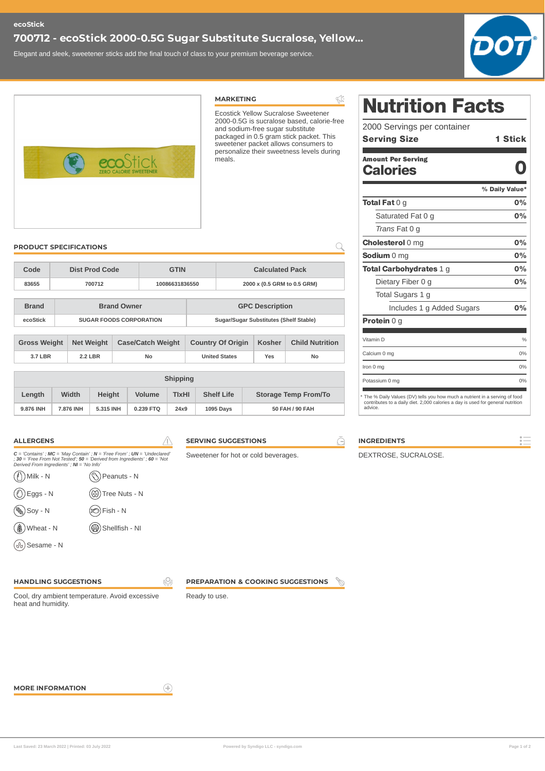## **700712 - ecoStick 2000-0.5G Sugar Substitute Sucralose, Yellow...**

Elegant and sleek, sweetener sticks add the final touch of class to your premium beverage service.



|                                                                      |                                                    |                                                                          |                                                                                                                                                             |                          | <b>MARKETING</b>                     |                                  | $\overline{\mathbb{Z}}$                                                           | <b>Nutrition Facts</b>                                                                     |                |  |
|----------------------------------------------------------------------|----------------------------------------------------|--------------------------------------------------------------------------|-------------------------------------------------------------------------------------------------------------------------------------------------------------|--------------------------|--------------------------------------|----------------------------------|-----------------------------------------------------------------------------------|--------------------------------------------------------------------------------------------|----------------|--|
|                                                                      |                                                    |                                                                          |                                                                                                                                                             |                          |                                      |                                  | Ecostick Yellow Sucralose Sweetener<br>2000-0.5G is sucralose based, calorie-free |                                                                                            |                |  |
|                                                                      |                                                    |                                                                          |                                                                                                                                                             |                          |                                      | and sodium-free sugar substitute |                                                                                   | 2000 Servings per container                                                                |                |  |
|                                                                      |                                                    |                                                                          |                                                                                                                                                             |                          |                                      |                                  | packaged in 0.5 gram stick packet. This<br>sweetener packet allows consumers to   | <b>Serving Size</b>                                                                        | <b>1 Stick</b> |  |
|                                                                      |                                                    |                                                                          |                                                                                                                                                             |                          |                                      |                                  | personalize their sweetness levels during                                         | <b>Amount Per Serving</b>                                                                  |                |  |
|                                                                      |                                                    |                                                                          |                                                                                                                                                             |                          |                                      |                                  |                                                                                   | <b>Calories</b>                                                                            |                |  |
|                                                                      |                                                    |                                                                          |                                                                                                                                                             |                          |                                      |                                  |                                                                                   |                                                                                            | % Daily Value* |  |
|                                                                      |                                                    |                                                                          |                                                                                                                                                             |                          |                                      |                                  |                                                                                   | <b>Total Fat</b> $0$ g                                                                     | 0%             |  |
|                                                                      |                                                    |                                                                          |                                                                                                                                                             |                          |                                      |                                  |                                                                                   | Saturated Fat 0 g                                                                          | 0%             |  |
|                                                                      |                                                    |                                                                          |                                                                                                                                                             |                          |                                      |                                  |                                                                                   | Trans Fat 0 g                                                                              |                |  |
| <b>PRODUCT SPECIFICATIONS</b>                                        |                                                    |                                                                          |                                                                                                                                                             |                          |                                      |                                  | Q                                                                                 | <b>Cholesterol 0 mg</b>                                                                    | 0%             |  |
|                                                                      |                                                    |                                                                          |                                                                                                                                                             |                          |                                      |                                  |                                                                                   | Sodium 0 mg                                                                                | 0%             |  |
| Code                                                                 |                                                    | <b>Dist Prod Code</b>                                                    |                                                                                                                                                             | <b>GTIN</b>              |                                      | <b>Calculated Pack</b>           |                                                                                   | Total Carbohydrates 1 g                                                                    | 0%             |  |
| 83655                                                                | 700712                                             |                                                                          |                                                                                                                                                             | 10086631836550           | 2000 x (0.5 GRM to 0.5 GRM)          |                                  |                                                                                   | Dietary Fiber 0 g                                                                          | 0%             |  |
|                                                                      |                                                    |                                                                          |                                                                                                                                                             |                          |                                      |                                  |                                                                                   | Total Sugars 1 g                                                                           |                |  |
| <b>Brand</b>                                                         | <b>Brand Owner</b>                                 |                                                                          |                                                                                                                                                             | <b>GPC Description</b>   |                                      |                                  |                                                                                   | Includes 1 g Added Sugars                                                                  | 0%             |  |
| ecoStick                                                             |                                                    | Sugar/Sugar Substitutes (Shelf Stable)<br><b>SUGAR FOODS CORPORATION</b> |                                                                                                                                                             |                          |                                      |                                  |                                                                                   | <b>Protein 0 g</b>                                                                         |                |  |
| <b>Gross Weight</b><br><b>Net Weight</b><br><b>Case/Catch Weight</b> |                                                    |                                                                          |                                                                                                                                                             | <b>Country Of Origin</b> | Kosher                               | <b>Child Nutrition</b>           | Vitamin D                                                                         | $\frac{0}{0}$                                                                              |                |  |
| <b>3.7 LBR</b>                                                       |                                                    | <b>2.2 LBR</b>                                                           | No                                                                                                                                                          |                          |                                      | Yes                              | No                                                                                | Calcium 0 mg                                                                               | 0%             |  |
|                                                                      |                                                    |                                                                          |                                                                                                                                                             |                          |                                      |                                  |                                                                                   | Iron 0 mg                                                                                  | 0%             |  |
|                                                                      |                                                    |                                                                          |                                                                                                                                                             | <b>Shipping</b>          |                                      |                                  |                                                                                   | Potassium 0 mg                                                                             | 0%             |  |
| Length                                                               | Width                                              | <b>Height</b>                                                            | <b>Volume</b>                                                                                                                                               | <b>TIXHI</b>             | <b>Shelf Life</b>                    | <b>Storage Temp From/To</b>      |                                                                                   | * The % Daily Values (DV) tells you how much a nutrient in a serving of food               |                |  |
| 9.876 INH                                                            | 7.876 INH                                          | 5.315 INH                                                                | 0.239 FTQ                                                                                                                                                   | 24x9                     | 1095 Days                            | 50 FAH / 90 FAH                  |                                                                                   | contributes to a daily diet. 2,000 calories a day is used for general nutrition<br>advice. |                |  |
|                                                                      |                                                    |                                                                          |                                                                                                                                                             |                          |                                      |                                  |                                                                                   |                                                                                            |                |  |
| <b>ALLERGENS</b>                                                     |                                                    |                                                                          |                                                                                                                                                             |                          | <b>SERVING SUGGESTIONS</b>           |                                  | Θ                                                                                 | <b>INGREDIENTS</b>                                                                         |                |  |
|                                                                      |                                                    |                                                                          | $C =$ 'Contains'; MC = 'May Contain'; N = 'Free From'; UN = 'Undeclared'<br>; $30 =$ 'Free From Not Tested'; $50 =$ 'Derived from Ingredients'; $60 =$ 'Not |                          | Sweetener for hot or cold beverages. |                                  |                                                                                   | DEXTROSE, SUCRALOSE.                                                                       |                |  |
| Derived From Ingredients'; NI = 'No Info'<br>Milk - N                |                                                    | Peanuts - N                                                              |                                                                                                                                                             |                          |                                      |                                  |                                                                                   |                                                                                            |                |  |
| (1) Tree Nuts - N<br>$\bigcirc$ Eggs - N                             |                                                    |                                                                          |                                                                                                                                                             |                          |                                      |                                  |                                                                                   |                                                                                            |                |  |
| $\binom{1}{\infty}$ Soy - N                                          | $\circledR$ Fish - N                               |                                                                          |                                                                                                                                                             |                          |                                      |                                  |                                                                                   |                                                                                            |                |  |
|                                                                      | <b>(W)</b> Shellfish - NI<br><b>(\$)</b> Wheat - N |                                                                          |                                                                                                                                                             |                          |                                      |                                  |                                                                                   |                                                                                            |                |  |
|                                                                      |                                                    |                                                                          |                                                                                                                                                             |                          |                                      |                                  |                                                                                   |                                                                                            |                |  |

### **HANDLING SUGGESTIONS**

Cool, dry ambient temperature. Avoid excessive heat and humidity.

**PREPARATION & COOKING SUGGESTIONS**  $\frac{\mathcal{P}}{\mathcal{P}}$ 

**MORE INFORMATION**

 $\bigoplus$ 

 $\sqrt{2}$ 

Ready to use.